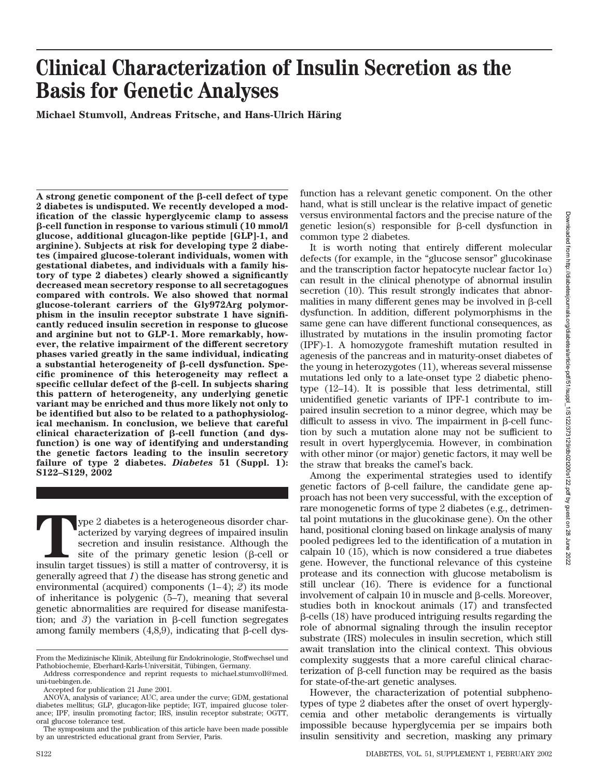# **Clinical Characterization of Insulin Secretion as the Basis for Genetic Analyses**

**Michael Stumvoll, Andreas Fritsche, and Hans-Ulrich Häring** 

A strong genetic component of the  $\beta$ -cell defect of type **2 diabetes is undisputed. We recently developed a modification of the classic hyperglycemic clamp to assess -cell function in response to various stimuli (10 mmol/l glucose, additional glucagon-like peptide [GLP]-1, and arginine). Subjects at risk for developing type 2 diabetes (impaired glucose-tolerant individuals, women with gestational diabetes, and individuals with a family history of type 2 diabetes) clearly showed a significantly decreased mean secretory response to all secretagogues compared with controls. We also showed that normal glucose-tolerant carriers of the Gly972Arg polymorphism in the insulin receptor substrate 1 have significantly reduced insulin secretion in response to glucose and arginine but not to GLP-1. More remarkably, however, the relative impairment of the different secretory phases varied greatly in the same individual, indicating a** substantial heterogeneity of β-cell dysfunction. Spe**cific prominence of this heterogeneity may reflect a**  $specific$  cellular defect of the  $\beta$ -cell. In subjects sharing **this pattern of heterogeneity, any underlying genetic variant may be enriched and thus more likely not only to be identified but also to be related to a pathophysiological mechanism. In conclusion, we believe that careful** clinical characterization of β-cell function (and dys**function) is one way of identifying and understanding the genetic factors leading to the insulin secretory failure of type 2 diabetes.** *Diabetes* **51 (Suppl. 1): S122–S129, 2002**

**T**ype 2 diabetes is a heterogeneous disorder characterized by varying degrees of impaired insulin secretion and insulin resistance. Although the site of the primary genetic lesion (β-cell or insulin target tissues) is st acterized by varying degrees of impaired insulin secretion and insulin resistance. Although the site of the primary genetic lesion  $(\beta$ -cell or generally agreed that *1*) the disease has strong genetic and environmental (acquired) components (1–4); *2*) its mode of inheritance is polygenic (5–7), meaning that several genetic abnormalities are required for disease manifestation; and 3) the variation in  $\beta$ -cell function segregates among family members  $(4,8,9)$ , indicating that  $\beta$ -cell dysfunction has a relevant genetic component. On the other hand, what is still unclear is the relative impact of genetic versus environmental factors and the precise nature of the genetic lesion(s) responsible for  $\beta$ -cell dysfunction in common type 2 diabetes.

It is worth noting that entirely different molecular defects (for example, in the "glucose sensor" glucokinase and the transcription factor hepatocyte nuclear factor  $1\alpha$ ) can result in the clinical phenotype of abnormal insulin secretion (10). This result strongly indicates that abnormalities in many different genes may be involved in  $\beta$ -cell dysfunction. In addition, different polymorphisms in the same gene can have different functional consequences, as illustrated by mutations in the insulin promoting factor (IPF)-1. A homozygote frameshift mutation resulted in agenesis of the pancreas and in maturity-onset diabetes of the young in heterozygotes (11), whereas several missense mutations led only to a late-onset type 2 diabetic phenotype (12–14). It is possible that less detrimental, still unidentified genetic variants of IPF-1 contribute to impaired insulin secretion to a minor degree, which may be difficult to assess in vivo. The impairment in  $\beta$ -cell function by such a mutation alone may not be sufficient to result in overt hyperglycemia. However, in combination with other minor (or major) genetic factors, it may well be the straw that breaks the camel's back.

Among the experimental strategies used to identify genetic factors of  $\beta$ -cell failure, the candidate gene approach has not been very successful, with the exception of rare monogenetic forms of type 2 diabetes (e.g., detrimental point mutations in the glucokinase gene). On the other hand, positional cloning based on linkage analysis of many pooled pedigrees led to the identification of a mutation in calpain 10 (15), which is now considered a true diabetes gene. However, the functional relevance of this cysteine protease and its connection with glucose metabolism is still unclear (16). There is evidence for a functional involvement of calpain  $10$  in muscle and  $\beta$ -cells. Moreover, studies both in knockout animals (17) and transfected  $\beta$ -cells (18) have produced intriguing results regarding the role of abnormal signaling through the insulin receptor substrate (IRS) molecules in insulin secretion, which still await translation into the clinical context. This obvious complexity suggests that a more careful clinical characterization of  $\beta$ -cell function may be required as the basis for state-of-the-art genetic analyses.

However, the characterization of potential subphenotypes of type 2 diabetes after the onset of overt hyperglycemia and other metabolic derangements is virtually impossible because hyperglycemia per se impairs both insulin sensitivity and secretion, masking any primary

From the Medizinische Klinik, Abteilung für Endokrinologie, Stoffwechsel und Pathobiochemie, Eberhard-Karls-Universität, Tübingen, Germany.

Address correspondence and reprint requests to michael.stumvoll@med. uni-tuebingen.de.

Accepted for publication 21 June 2001.

ANOVA, analysis of variance; AUC, area under the curve; GDM, gestational diabetes mellitus; GLP, glucagon-like peptide; IGT, impaired glucose tolerance; IPF, insulin promoting factor; IRS, insulin receptor substrate; OGTT, oral glucose tolerance test.

The symposium and the publication of this article have been made possible by an unrestricted educational grant from Servier, Paris.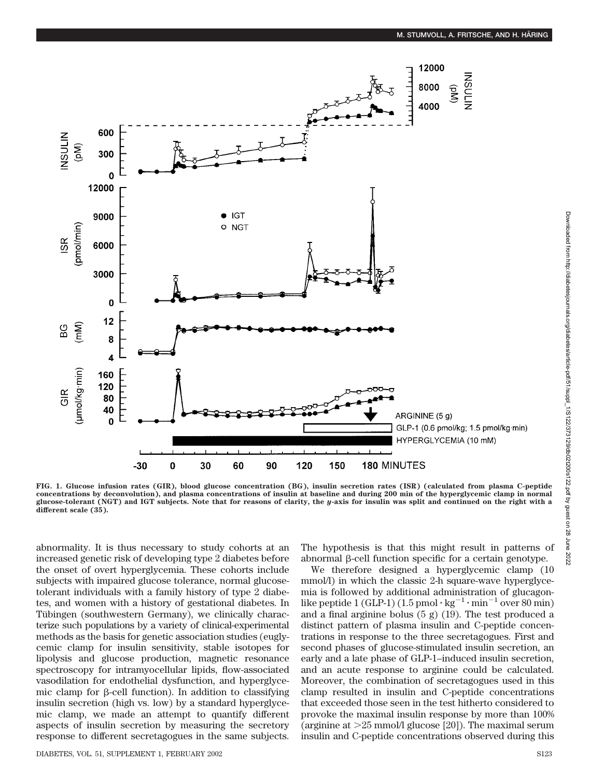

**FIG. 1. Glucose infusion rates (GIR), blood glucose concentration (BG), insulin secretion rates (ISR) (calculated from plasma C-peptide concentrations by deconvolution), and plasma concentrations of insulin at baseline and during 200 min of the hyperglycemic clamp in normal glucose-tolerant (NGT) and IGT subjects. Note that for reasons of clarity, the** *y***-axis for insulin was split and continued on the right with a different scale (35).**

abnormality. It is thus necessary to study cohorts at an increased genetic risk of developing type 2 diabetes before the onset of overt hyperglycemia. These cohorts include subjects with impaired glucose tolerance, normal glucosetolerant individuals with a family history of type 2 diabetes, and women with a history of gestational diabetes. In Tübingen (southwestern Germany), we clinically characterize such populations by a variety of clinical-experimental methods as the basis for genetic association studies (euglycemic clamp for insulin sensitivity, stable isotopes for lipolysis and glucose production, magnetic resonance spectroscopy for intramyocellular lipids, flow-associated vasodilation for endothelial dysfunction, and hyperglycemic clamp for  $\beta$ -cell function). In addition to classifying insulin secretion (high vs. low) by a standard hyperglycemic clamp, we made an attempt to quantify different aspects of insulin secretion by measuring the secretory response to different secretagogues in the same subjects.

The hypothesis is that this might result in patterns of abnormal  $\beta$ -cell function specific for a certain genotype.

We therefore designed a hyperglycemic clamp (10 mmol/l) in which the classic 2-h square-wave hyperglycemia is followed by additional administration of glucagonlike peptide 1 (GLP-1) (1.5 pmol  $\cdot$  kg<sup>-1</sup> $\cdot$ min<sup>-1</sup> over 80 min) and a final arginine bolus (5 g) (19). The test produced a distinct pattern of plasma insulin and C-peptide concentrations in response to the three secretagogues. First and second phases of glucose-stimulated insulin secretion, an early and a late phase of GLP-1–induced insulin secretion, and an acute response to arginine could be calculated. Moreover, the combination of secretagogues used in this clamp resulted in insulin and C-peptide concentrations that exceeded those seen in the test hitherto considered to provoke the maximal insulin response by more than 100% (arginine at  $>25$  mmol/l glucose [20]). The maximal serum insulin and C-peptide concentrations observed during this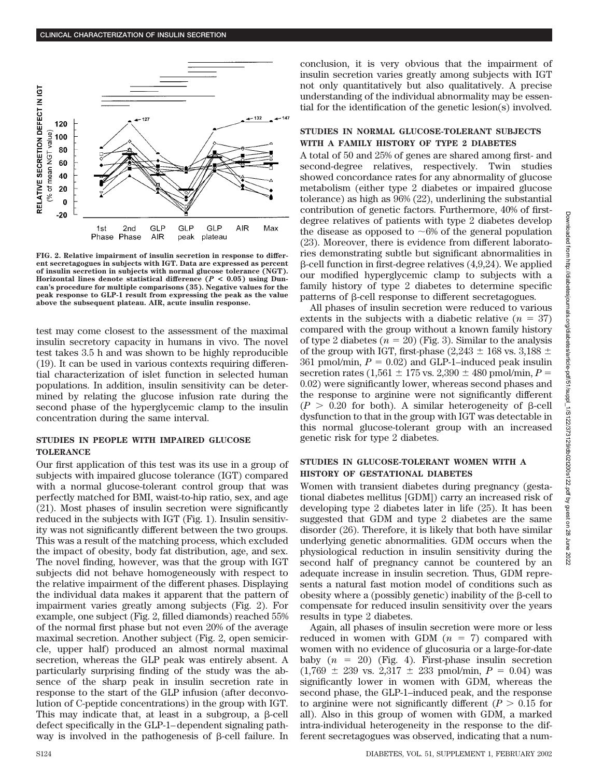

**FIG. 2. Relative impairment of insulin secretion in response to different secretagogues in subjects with IGT. Data are expressed as percent of insulin secretion in subjects with normal glucose tolerance (NGT). Horizontal lines denote statistical difference (***P* **< 0.05) using Duncan's procedure for multiple comparisons (35). Negative values for the peak response to GLP-1 result from expressing the peak as the value above the subsequent plateau. AIR, acute insulin response.**

test may come closest to the assessment of the maximal insulin secretory capacity in humans in vivo. The novel test takes 3.5 h and was shown to be highly reproducible (19). It can be used in various contexts requiring differential characterization of islet function in selected human populations. In addition, insulin sensitivity can be determined by relating the glucose infusion rate during the second phase of the hyperglycemic clamp to the insulin concentration during the same interval.

## **STUDIES IN PEOPLE WITH IMPAIRED GLUCOSE TOLERANCE**

Our first application of this test was its use in a group of subjects with impaired glucose tolerance (IGT) compared with a normal glucose-tolerant control group that was perfectly matched for BMI, waist-to-hip ratio, sex, and age (21). Most phases of insulin secretion were significantly reduced in the subjects with IGT (Fig. 1). Insulin sensitivity was not significantly different between the two groups. This was a result of the matching process, which excluded the impact of obesity, body fat distribution, age, and sex. The novel finding, however, was that the group with IGT subjects did not behave homogeneously with respect to the relative impairment of the different phases. Displaying the individual data makes it apparent that the pattern of impairment varies greatly among subjects (Fig. 2). For example, one subject (Fig. 2, filled diamonds) reached 55% of the normal first phase but not even 20% of the average maximal secretion. Another subject (Fig. 2, open semicircle, upper half) produced an almost normal maximal secretion, whereas the GLP peak was entirely absent. A particularly surprising finding of the study was the absence of the sharp peak in insulin secretion rate in response to the start of the GLP infusion (after deconvolution of C-peptide concentrations) in the group with IGT. This may indicate that, at least in a subgroup, a  $\beta$ -cell defect specifically in the GLP-1–dependent signaling pathway is involved in the pathogenesis of  $\beta$ -cell failure. In

conclusion, it is very obvious that the impairment of insulin secretion varies greatly among subjects with IGT not only quantitatively but also qualitatively. A precise understanding of the individual abnormality may be essential for the identification of the genetic lesion(s) involved.

## **STUDIES IN NORMAL GLUCOSE-TOLERANT SUBJECTS WITH A FAMILY HISTORY OF TYPE 2 DIABETES**

A total of 50 and 25% of genes are shared among first- and second-degree relatives, respectively. Twin studies showed concordance rates for any abnormality of glucose metabolism (either type 2 diabetes or impaired glucose tolerance) as high as 96% (22), underlining the substantial contribution of genetic factors. Furthermore, 40% of firstdegree relatives of patients with type 2 diabetes develop the disease as opposed to  $\sim 6\%$  of the general population (23). Moreover, there is evidence from different laboratories demonstrating subtle but significant abnormalities in  $\beta$ -cell function in first-degree relatives (4,9,24). We applied our modified hyperglycemic clamp to subjects with a family history of type 2 diabetes to determine specific patterns of  $\beta$ -cell response to different secretagogues.

All phases of insulin secretion were reduced to various extents in the subjects with a diabetic relative  $(n = 37)$ compared with the group without a known family history of type 2 diabetes  $(n = 20)$  (Fig. 3). Similar to the analysis of the group with IGT, first-phase (2,243  $\pm$  168 vs. 3,188  $\pm$ 361 pmol/min,  $P = 0.02$ ) and GLP-1–induced peak insulin secretion rates (1,561  $\pm$  175 vs. 2,390  $\pm$  480 pmol/min, *P* = 0.02) were significantly lower, whereas second phases and the response to arginine were not significantly different  $(P > 0.20$  for both). A similar heterogeneity of  $\beta$ -cell dysfunction to that in the group with IGT was detectable in this normal glucose-tolerant group with an increased genetic risk for type 2 diabetes.

## **STUDIES IN GLUCOSE-TOLERANT WOMEN WITH A HISTORY OF GESTATIONAL DIABETES**

Women with transient diabetes during pregnancy (gestational diabetes mellitus [GDM]) carry an increased risk of developing type 2 diabetes later in life (25). It has been suggested that GDM and type 2 diabetes are the same disorder (26). Therefore, it is likely that both have similar underlying genetic abnormalities. GDM occurs when the physiological reduction in insulin sensitivity during the second half of pregnancy cannot be countered by an adequate increase in insulin secretion. Thus, GDM represents a natural fast motion model of conditions such as obesity where a (possibly genetic) inability of the  $\beta$ -cell to compensate for reduced insulin sensitivity over the years results in type 2 diabetes.

Again, all phases of insulin secretion were more or less reduced in women with GDM  $(n = 7)$  compared with women with no evidence of glucosuria or a large-for-date baby  $(n = 20)$  (Fig. 4). First-phase insulin secretion  $(1,769 \pm 239 \text{ vs. } 2,317 \pm 233 \text{ pmol/min}, P = 0.04)$  was significantly lower in women with GDM, whereas the second phase, the GLP-1–induced peak, and the response to arginine were not significantly different  $(P > 0.15$  for all). Also in this group of women with GDM, a marked intra-individual heterogeneity in the response to the different secretagogues was observed, indicating that a num-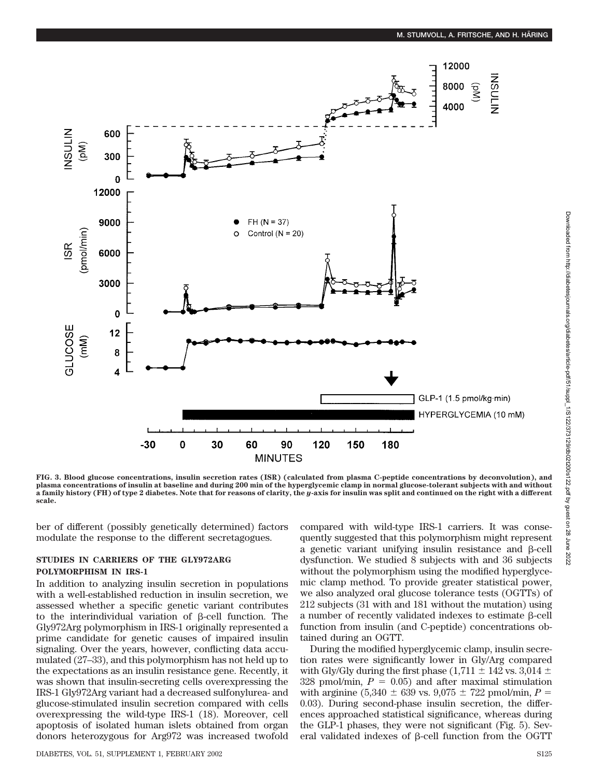

**FIG. 3. Blood glucose concentrations, insulin secretion rates (ISR) (calculated from plasma C-peptide concentrations by deconvolution), and plasma concentrations of insulin at baseline and during 200 min of the hyperglycemic clamp in normal glucose-tolerant subjects with and without a family history (FH) of type 2 diabetes. Note that for reasons of clarity, the** *y***-axis for insulin was split and continued on the right with a different scale.**

ber of different (possibly genetically determined) factors modulate the response to the different secretagogues.

# **STUDIES IN CARRIERS OF THE GLY972ARG POLYMORPHISM IN IRS-1**

In addition to analyzing insulin secretion in populations with a well-established reduction in insulin secretion, we assessed whether a specific genetic variant contributes to the interindividual variation of  $\beta$ -cell function. The Gly972Arg polymorphism in IRS-1 originally represented a prime candidate for genetic causes of impaired insulin signaling. Over the years, however, conflicting data accumulated (27–33), and this polymorphism has not held up to the expectations as an insulin resistance gene. Recently, it was shown that insulin-secreting cells overexpressing the IRS-1 Gly972Arg variant had a decreased sulfonylurea- and glucose-stimulated insulin secretion compared with cells overexpressing the wild-type IRS-1 (18). Moreover, cell apoptosis of isolated human islets obtained from organ donors heterozygous for Arg972 was increased twofold

compared with wild-type IRS-1 carriers. It was consequently suggested that this polymorphism might represent a genetic variant unifying insulin resistance and  $\beta$ -cell dysfunction. We studied 8 subjects with and 36 subjects without the polymorphism using the modified hyperglycemic clamp method. To provide greater statistical power, we also analyzed oral glucose tolerance tests (OGTTs) of 212 subjects (31 with and 181 without the mutation) using a number of recently validated indexes to estimate  $\beta$ -cell function from insulin (and C-peptide) concentrations obtained during an OGTT.

During the modified hyperglycemic clamp, insulin secretion rates were significantly lower in Gly/Arg compared with Gly/Gly during the first phase (1,711  $\pm$  142 vs. 3,014  $\pm$ 328 pmol/min,  $P = 0.05$ ) and after maximal stimulation with arginine (5,340  $\pm$  639 vs. 9,075  $\pm$  722 pmol/min, *P* = 0.03). During second-phase insulin secretion, the differences approached statistical significance, whereas during the GLP-1 phases, they were not significant (Fig. 5). Several validated indexes of  $\beta$ -cell function from the OGTT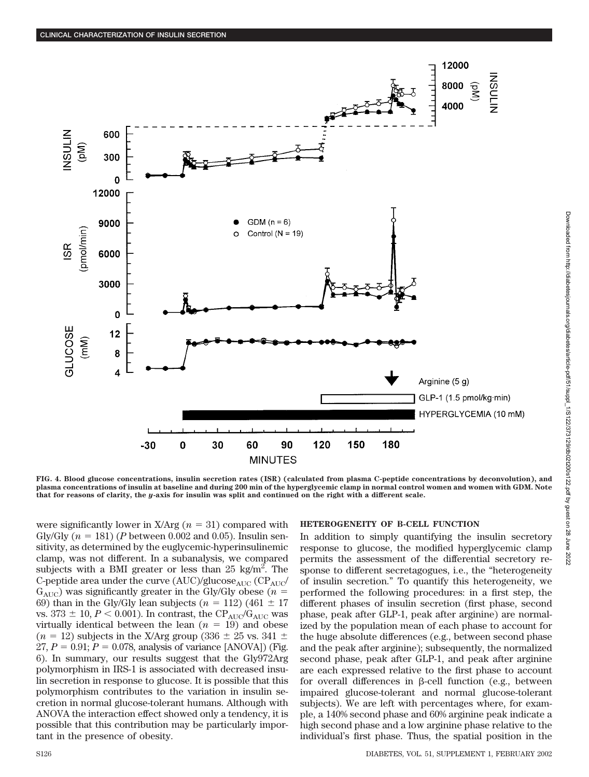

**FIG. 4. Blood glucose concentrations, insulin secretion rates (ISR) (calculated from plasma C-peptide concentrations by deconvolution), and plasma concentrations of insulin at baseline and during 200 min of the hyperglycemic clamp in normal control women and women with GDM. Note that for reasons of clarity, the** *y***-axis for insulin was split and continued on the right with a different scale.**

were significantly lower in X/Arg  $(n = 31)$  compared with Gly/Gly  $(n = 181)$  (*P* between 0.002 and 0.05). Insulin sensitivity, as determined by the euglycemic-hyperinsulinemic clamp, was not different. In a subanalysis, we compared subjects with a BMI greater or less than  $25 \text{ kg/m}^2$ . The C-peptide area under the curve  $(AUC)/glucose<sub>AUC</sub>$  (CP<sub>AUC</sub>/  $G_{\text{AUC}}$ ) was significantly greater in the Gly/Gly obese ( $n =$ 69) than in the Gly/Gly lean subjects  $(n = 112)$  (461  $\pm$  17) vs. 373  $\pm$  10, *P* < 0.001). In contrast, the CP<sub>AUC</sub>/G<sub>AUC</sub> was virtually identical between the lean  $(n = 19)$  and obese  $(n = 12)$  subjects in the X/Arg group (336  $\pm$  25 vs. 341  $\pm$  $27, P = 0.91; P = 0.078$ , analysis of variance [ANOVA]) (Fig. 6). In summary, our results suggest that the Gly972Arg polymorphism in IRS-1 is associated with decreased insulin secretion in response to glucose. It is possible that this polymorphism contributes to the variation in insulin secretion in normal glucose-tolerant humans. Although with ANOVA the interaction effect showed only a tendency, it is possible that this contribution may be particularly important in the presence of obesity.

#### **HETEROGENEITY OF B-CELL FUNCTION**

In addition to simply quantifying the insulin secretory response to glucose, the modified hyperglycemic clamp permits the assessment of the differential secretory response to different secretagogues, i.e., the "heterogeneity of insulin secretion." To quantify this heterogeneity, we performed the following procedures: in a first step, the different phases of insulin secretion (first phase, second phase, peak after GLP-1, peak after arginine) are normalized by the population mean of each phase to account for the huge absolute differences (e.g., between second phase and the peak after arginine); subsequently, the normalized second phase, peak after GLP-1, and peak after arginine are each expressed relative to the first phase to account for overall differences in  $\beta$ -cell function (e.g., between impaired glucose-tolerant and normal glucose-tolerant subjects). We are left with percentages where, for example, a 140% second phase and 60% arginine peak indicate a high second phase and a low arginine phase relative to the individual's first phase. Thus, the spatial position in the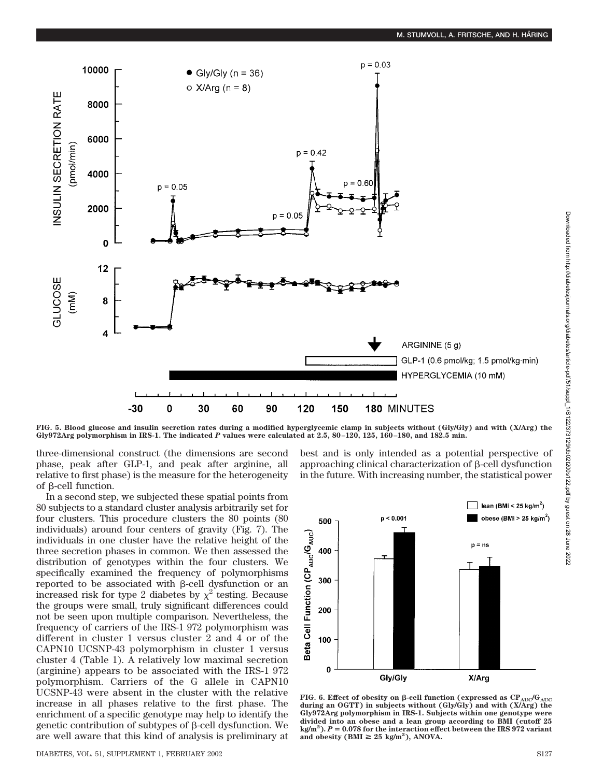

**FIG. 5. Blood glucose and insulin secretion rates during a modified hyperglycemic clamp in subjects without (Gly/Gly) and with (X/Arg) the Gly972Arg polymorphism in IRS-1. The indicated** *P* **values were calculated at 2.5, 80–120, 125, 160–180, and 182.5 min.**

three-dimensional construct (the dimensions are second phase, peak after GLP-1, and peak after arginine, all relative to first phase) is the measure for the heterogeneity of  $\beta$ -cell function.

In a second step, we subjected these spatial points from 80 subjects to a standard cluster analysis arbitrarily set for four clusters. This procedure clusters the 80 points (80 individuals) around four centers of gravity (Fig. 7). The individuals in one cluster have the relative height of the three secretion phases in common. We then assessed the distribution of genotypes within the four clusters. We specifically examined the frequency of polymorphisms reported to be associated with  $\beta$ -cell dysfunction or an increased risk for type 2 diabetes by  $\chi^2$  testing. Because the groups were small, truly significant differences could not be seen upon multiple comparison. Nevertheless, the frequency of carriers of the IRS-1 972 polymorphism was different in cluster 1 versus cluster 2 and 4 or of the CAPN10 UCSNP-43 polymorphism in cluster 1 versus cluster 4 (Table 1). A relatively low maximal secretion (arginine) appears to be associated with the IRS-1 972 polymorphism. Carriers of the G allele in CAPN10 UCSNP-43 were absent in the cluster with the relative increase in all phases relative to the first phase. The enrichment of a specific genotype may help to identify the genetic contribution of subtypes of  $\beta$ -cell dysfunction. We are well aware that this kind of analysis is preliminary at

DIABETES, VOL. 51, SUPPLEMENT 1, FEBRUARY 2002 S127



best and is only intended as a potential perspective of approaching clinical characterization of  $\beta$ -cell dysfunction in the future. With increasing number, the statistical power

FIG. 6. Effect of obesity on  $\beta$ -cell function (expressed as  $CP_{AUC}/G_{AUC}$ **during an OGTT) in subjects without (Gly/Gly) and with (X/Arg) the Gly972Arg polymorphism in IRS-1. Subjects within one genotype were divided into an obese and a lean group according to BMI (cutoff 25 kg/m2 ).** *P* **0.078 for the interaction effect between the IRS 972 variant** and obesity ( $\text{BMI} \geq 25 \text{ kg/m}^2$ ), ANOVA.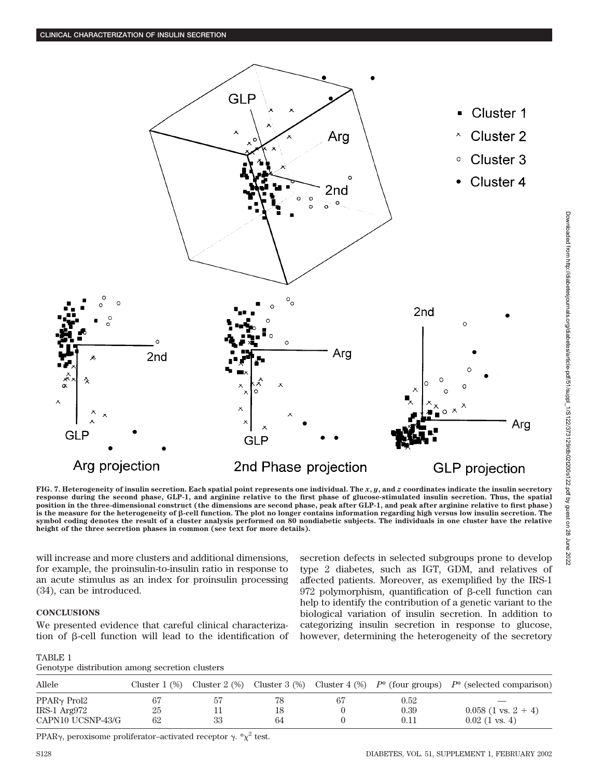

**FIG. 7. Heterogeneity of insulin secretion. Each spatial point represents one individual. The** *x***,** *y***, and** *z* **coordinates indicate the insulin secretory response during the second phase, GLP-1, and arginine relative to the first phase of glucose-stimulated insulin secretion. Thus, the spatial position in the three-dimensional construct (the dimensions are second phase, peak after GLP-1, and peak after arginine relative to first phase) is the measure for the heterogeneity of -cell function. The plot no longer contains information regarding high versus low insulin secretion. The symbol coding denotes the result of a cluster analysis performed on 80 nondiabetic subjects. The individuals in one cluster have the relative height of the three secretion phases in common (see text for more details).**

will increase and more clusters and additional dimensions, for example, the proinsulin-to-insulin ratio in response to an acute stimulus as an index for proinsulin processing (34), can be introduced.

### **CONCLUSIONS**

We presented evidence that careful clinical characterization of  $\beta$ -cell function will lead to the identification of

TABLE 1 Genotype distribution among secretion clusters

secretion defects in selected subgroups prone to develop type 2 diabetes, such as IGT, GDM, and relatives of affected patients. Moreover, as exemplified by the IRS-1  $972$  polymorphism, quantification of  $\beta$ -cell function can help to identify the contribution of a genetic variant to the biological variation of insulin secretion. In addition to categorizing insulin secretion in response to glucose, however, determining the heterogeneity of the secretory

| Allele                  |    |    |    |    |      | Cluster 1 (%) Cluster 2 (%) Cluster 3 (%) Cluster 4 (%) $P^*$ (four groups) $P^*$ (selected comparison) |
|-------------------------|----|----|----|----|------|---------------------------------------------------------------------------------------------------------|
| PPAR <sub>√</sub> Prol2 |    | 57 |    | 67 | 0.52 |                                                                                                         |
| IRS-1 Arg972            | 25 |    | 18 |    | 0.39 | $0.058$ (1 vs. 2 + 4)                                                                                   |
| CAPN10 UCSNP-43/G       | 62 | 33 | 64 |    | 0.11 | $0.02$ (1 vs. 4)                                                                                        |

PPAR $\gamma$ , peroxisome proliferator-activated receptor  $\gamma$ .  $\chi^2$  test.

Downloaded from http://diabetesjournals.org/diabetes/article-pdf/51/suppl\_1/S122/373129/db02t200s122.pdf by guest on 28 June 2022

Downloaded from http://diabelesjournals.org/diabetes/article-pdf/51/suppl\_1/S1223129/db021200s122.pdf by guest on 28 June 2022